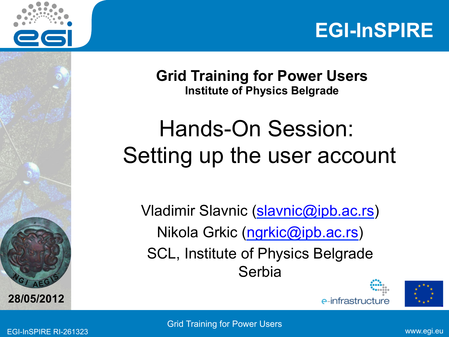



**Grid Training for Power Users Institute of Physics Belgrade** 

# Hands-On Session: Setting up the user account

Vladimir Slavnic (slavnic@ipb.ac.rs) Nikola Grkic (ngrkic@ipb.ac.rs) SCL, Institute of Physics Belgrade Serbia





**28/05/2012** 

**A E <sup>G</sup>**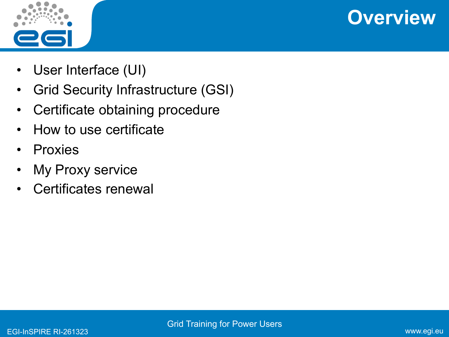



- User Interface (UI)
- Grid Security Infrastructure (GSI)
- Certificate obtaining procedure
- How to use certificate
- Proxies
- My Proxy service
- Certificates renewal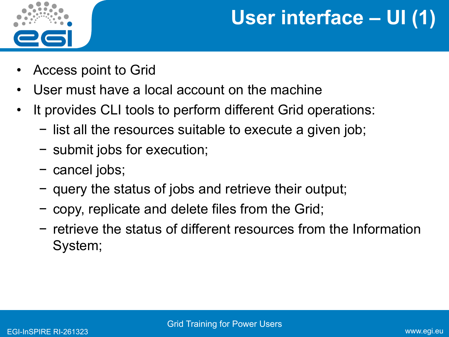

## **User interface – UI (1)**

- Access point to Grid
- User must have a local account on the machine
- It provides CLI tools to perform different Grid operations:
	- − list all the resources suitable to execute a given job;
	- − submit jobs for execution;
	- − cancel jobs;
	- − query the status of jobs and retrieve their output;
	- − copy, replicate and delete files from the Grid;
	- − retrieve the status of different resources from the Information System;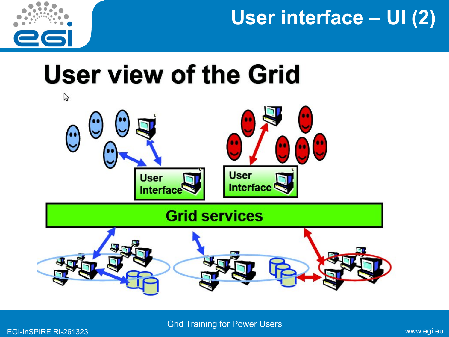

**User interface – UI (2)** 

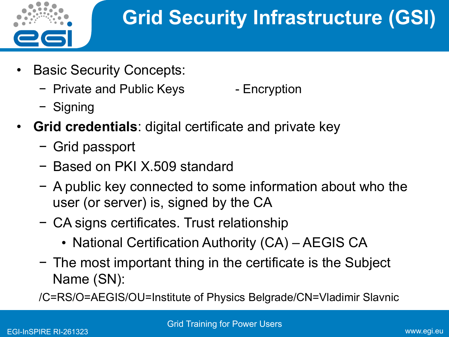

- **Basic Security Concepts:** 
	- − Private and Public Keys The Encryption
	- − Signing
- **Grid credentials**: digital certificate and private key
	- − Grid passport
	- − Based on PKI X.509 standard
	- − A public key connected to some information about who the user (or server) is, signed by the CA
	- − CA signs certificates. Trust relationship
		- National Certification Authority (CA) AEGIS CA
	- − The most important thing in the certificate is the Subject Name (SN):
	- /C=RS/O=AEGIS/OU=Institute of Physics Belgrade/CN=Vladimir Slavnic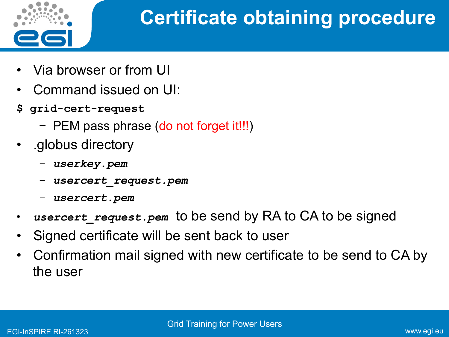

## **Certificate obtaining procedure**

- Via browser or from UI
- Command issued on UI:
- **\$ grid-cert-request** 
	- − PEM pass phrase (do not forget it!!!)
- .globus directory
	- − *userkey.pem*
	- − *usercert\_request.pem*
	- − *usercert.pem*
- *usercert request.pem* to be send by RA to CA to be signed
- Signed certificate will be sent back to user
- Confirmation mail signed with new certificate to be send to CA by the user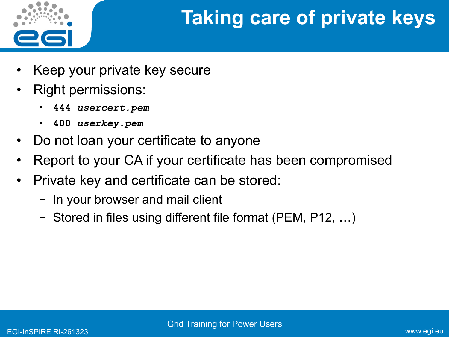

# **Taking care of private keys**

- Keep your private key secure
- Right permissions:
	- **444** *usercert.pem*
	- **400** *userkey.pem*
- Do not loan your certificate to anyone
- Report to your CA if your certificate has been compromised
- Private key and certificate can be stored:
	- − In your browser and mail client
	- − Stored in files using different file format (PEM, P12, …)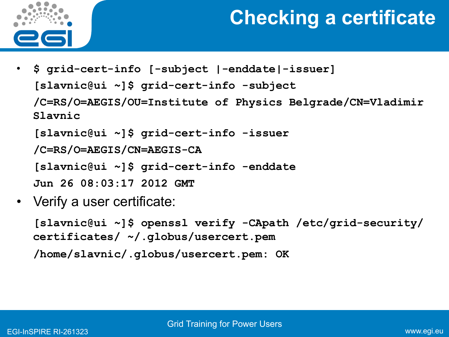

#### **Checking a certificate**

• **\$ grid-cert-info [-subject |-enddate|-issuer] [slavnic@ui ~]\$ grid-cert-info -subject /C=RS/O=AEGIS/OU=Institute of Physics Belgrade/CN=Vladimir Slavnic [slavnic@ui ~]\$ grid-cert-info -issuer /C=RS/O=AEGIS/CN=AEGIS-CA** 

**[slavnic@ui ~]\$ grid-cert-info -enddate** 

```
Jun 26 08:03:17 2012 GMT
```
• Verify a user certificate:

**[slavnic@ui ~]\$ openssl verify -CApath /etc/grid-security/ certificates/ ~/.globus/usercert.pem /home/slavnic/.globus/usercert.pem: OK**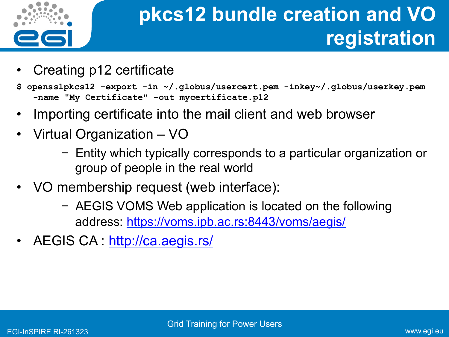

# **pkcs12 bundle creation and VO registration**

- Creating p12 certificate
- **\$ opensslpkcs12 -export -in ~/.globus/usercert.pem -inkey~/.globus/userkey.pem -name "My Certificate" -out mycertificate.p12**
- Importing certificate into the mail client and web browser
- Virtual Organization VO
	- − Entity which typically corresponds to a particular organization or group of people in the real world
- VO membership request (web interface):
	- − AEGIS VOMS Web application is located on the following address: https://voms.ipb.ac.rs:8443/voms/aegis/
- AEGIS CA: http://ca.aegis.rs/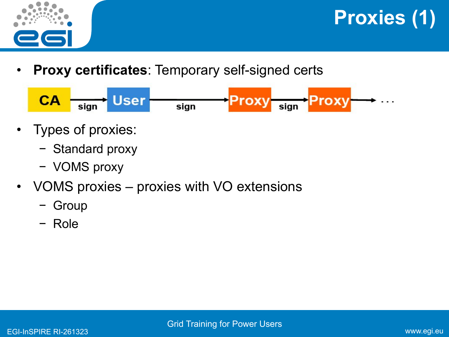

**Proxies (1)** 

**Proxy certificates: Temporary self-signed certs** 



- Types of proxies:
	- − Standard proxy
	- − VOMS proxy
- VOMS proxies proxies with VO extensions
	- − Group
	- − Role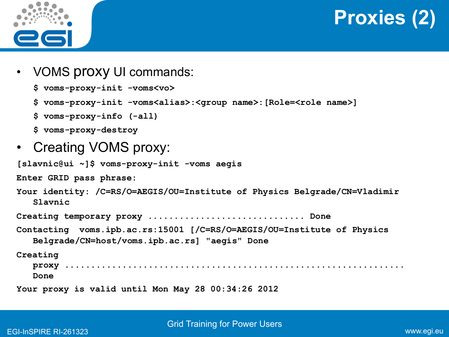



- VOMS proxy UI commands:
	- **\$ voms-proxy-init -voms<vo>**

```
$ voms-proxy-init -voms<alias>:<group name>:[Role=<role name>]
```
- **\$ voms-proxy-info (-all)**
- **\$ voms-proxy-destroy**
- Creating VOMS proxy:

```
[slavnic@ui ~]$ voms-proxy-init -voms aegis
```
**Enter GRID pass phrase:** 

```
Your identity: /C=RS/O=AEGIS/OU=Institute of Physics Belgrade/CN=Vladimir 
Slavnic
```
**Creating temporary proxy .............................. Done** 

```
Contacting voms.ipb.ac.rs:15001 [/C=RS/O=AEGIS/OU=Institute of Physics 
Belgrade/CN=host/voms.ipb.ac.rs] "aegis" Done
```
**Creating** 

**proxy .................................................................** 

**Done** 

**Your proxy is valid until Mon May 28 00:34:26 2012**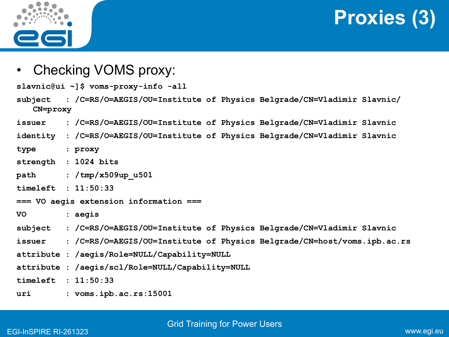

**Proxies (3)** 

• Checking VOMS proxy:

**slavnic@ui ~]\$ voms-proxy-info -all** 

- **subject : /C=RS/O=AEGIS/OU=Institute of Physics Belgrade/CN=Vladimir Slavnic/ CN=proxy**
- **issuer : /C=RS/O=AEGIS/OU=Institute of Physics Belgrade/CN=Vladimir Slavnic**
- **identity : /C=RS/O=AEGIS/OU=Institute of Physics Belgrade/CN=Vladimir Slavnic**
- **type : proxy**
- **strength : 1024 bits**
- **path : /tmp/x509up\_u501**
- **timeleft : 11:50:33**
- **=== VO aegis extension information ===**
- **VO : aegis**
- **subject : /C=RS/O=AEGIS/OU=Institute of Physics Belgrade/CN=Vladimir Slavnic**
- **issuer : /C=RS/O=AEGIS/OU=Institute of Physics Belgrade/CN=host/voms.ipb.ac.rs**
- **attribute : /aegis/Role=NULL/Capability=NULL**
- **attribute : /aegis/scl/Role=NULL/Capability=NULL**

**timeleft : 11:50:33** 

**uri : voms.ipb.ac.rs:15001**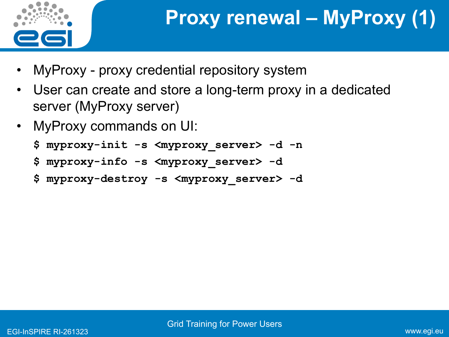

# **Proxy renewal – MyProxy (1)**

- MyProxy proxy credential repository system
- User can create and store a long-term proxy in a dedicated server (MyProxy server)
- MyProxy commands on UI:
	- **\$ myproxy-init -s <myproxy\_server> -d -n**
	- **\$ myproxy-info -s <myproxy\_server> -d**
	- **\$ myproxy-destroy -s <myproxy\_server> -d**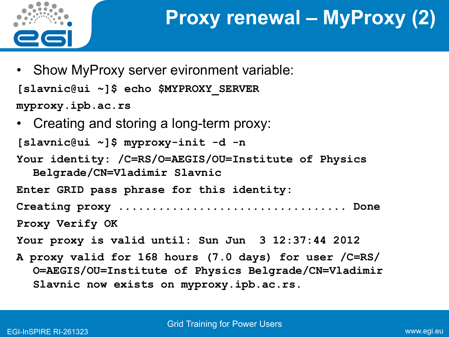

- Show MyProxy server evironment variable: **[slavnic@ui ~]\$ echo \$MYPROXY\_SERVER myproxy.ipb.ac.rs**
- Creating and storing a long-term proxy:

**[slavnic@ui ~]\$ myproxy-init -d -n** 

**Your identity: /C=RS/O=AEGIS/OU=Institute of Physics Belgrade/CN=Vladimir Slavnic** 

**Enter GRID pass phrase for this identity: Creating proxy .................................. Done Proxy Verify OK Your proxy is valid until: Sun Jun 3 12:37:44 2012**

**A proxy valid for 168 hours (7.0 days) for user /C=RS/ O=AEGIS/OU=Institute of Physics Belgrade/CN=Vladimir Slavnic now exists on myproxy.ipb.ac.rs.**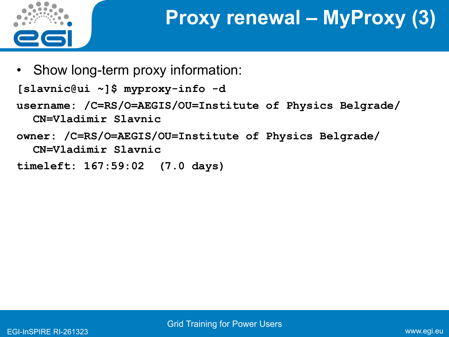

## **Proxy renewal – MyProxy (3)**

• Show long-term proxy information:

**[slavnic@ui ~]\$ myproxy-info -d** 

**username: /C=RS/O=AEGIS/OU=Institute of Physics Belgrade/ CN=Vladimir Slavnic** 

**owner: /C=RS/O=AEGIS/OU=Institute of Physics Belgrade/ CN=Vladimir Slavnic** 

**timeleft: 167:59:02 (7.0 days)**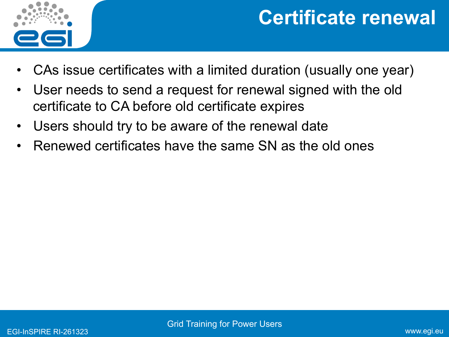

#### **Certificate renewal**

- CAs issue certificates with a limited duration (usually one year)
- User needs to send a request for renewal signed with the old certificate to CA before old certificate expires
- Users should try to be aware of the renewal date
- Renewed certificates have the same SN as the old ones